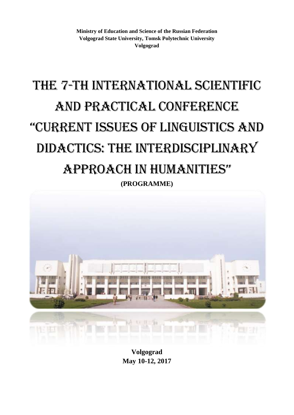**Ministry of Education and Science of the Russian Federation Volgograd State University, Tomsk Polytechnic University Volgograd**

# The 7-th International Scientific and Practical Conference "Current issues of linguistiCs and didactics: The interdisciplinary approaCh in humanities" **(PROGRAMME)**



**Volgograd May 10-12, 2017**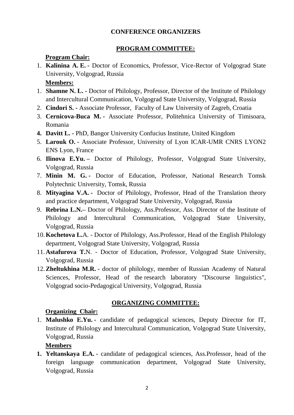#### **CONFERENCE ORGANIZERS**

#### **PROGRAM COMMITTEE:**

#### **Program Chair:**

- 1. **Kalinina A. E. -** Doctor of Economics, Professor, Vice-Rector of Volgograd State University, Volgograd, Russia **Members:**
- 1. **Shamne N. L. -** Doctor of Philology, Professor, Director of the Institute of Philology and Intercultural Communication, Volgograd State University, Volgograd, Russia
- 2. **Cindori S. -** Associate Professor, Faculty of Law University of Zagreb, Croatia
- 3. **Cernicova-Buca M. -** Associate Professor, Politehnica University of Timisoara, Romania
- **4. Davitt L. -** PhD, Bangor University Confucius Institute, United Kingdom
- 5. **Larouk O. -** Associate Professor, University of Lyon ICAR-UMR CNRS LYON2 ENS Lyon, France
- 6. **Ilinova E.Yu. –** Doctor of Philology, Professor, Volgograd State University, Volgograd, Russia
- 7. **Minin M. G. -** Doctor of Education, Professor, National Research Tomsk Polytechnic University, Tomsk, Russia
- 8. **Mityagina V.A. -** Doctor of Philology, Professor, Head of the Translation theory and practice department, Volgograd State University, Volgograd, Russia
- 9. **Rebrina L.N.–** Doctor of Philology, Ass.Professor, Ass. Director of the Institute of Philology and Intercultural Communication, Volgograd State University, Volgograd, Russia
- 10.**Kochetova L.**A. Doctor of Philology, Ass.Professor, Head of the English Philology department, Volgograd State University, Volgograd, Russia
- 11.**Astafurova T.**N. Doctor of Education, Professor, Volgograd State University, Volgograd, Russia
- 12.**Zheltukhina M.R. -** doctor of philology, member of Russian Academy of Natural Sciences, Professor, Head of the research laboratory "Discourse linguistics", Volgograd socio-Pedagogical University, Volgograd, Russia

#### **ORGANIZING COMMITTEE:**

# **Organizing Chair:**

1. **Malushko E.Yu. -** candidate of pedagogical sciences, Deputy Director for IT, Institute of Philology and Intercultural Communication, Volgograd State University, Volgograd, Russia

#### **Members**

**1. Yeltanskaya E.A. -** candidate of pedagogical sciences, Ass.Professor, head of the foreign language communication department, Volgograd State University, Volgograd, Russia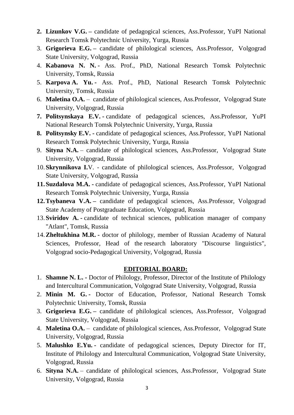- **2. Lizunkov V.G. –** candidate of pedagogical sciences, Ass.Professor, YuPI National Research Tomsk Polytechnic University, Yurga, Russia
- 3. **Grigorieva E.G. –** candidate of philological sciences, Ass.Professor, Volgograd State University, Volgograd, Russia
- 4. **Kabanova N. N. -** Ass. Prof., PhD, National Research Tomsk Polytechnic University, Tomsk, Russia
- 5. **Karpova A. Yu. -** Ass. Prof., PhD, National Research Tomsk Polytechnic University, Tomsk, Russia
- 6. **Maletina O.A.** candidate of philological sciences, Ass.Professor, Volgograd State University, Volgograd, Russia
- **7. Politsynskaya E.V. -** candidate of pedagogical sciences, Ass.Professor, YuPI National Research Tomsk Polytechnic University, Yurga, Russia
- **8. Politsynsky E.V. -** candidate of pedagogical sciences, Ass.Professor, YuPI National Research Tomsk Polytechnic University, Yurga, Russia
- 9. **Sityna N.A.** candidate of philological sciences, Ass.Professor, Volgograd State University, Volgograd, Russia
- 10.**Skrynnikova I.**V. candidate of philological sciences, Ass.Professor, Volgograd State University, Volgograd, Russia
- **11.Suzdalova M.A. -** candidate of pedagogical sciences, Ass.Professor, YuPI National Research Tomsk Polytechnic University, Yurga, Russia
- **12.Tsybaneva V.A. –** candidate of pedagogical sciences, Ass.Professor, Volgograd State Academy of Postgraduate Education, Volgograd, Russia
- 13.**Sviridov A. -** candidate of technical sciences, publication manager of company "Atlant", Tomsk, Russia
- 14.**Zheltukhina M.R. -** doctor of philology, member of Russian Academy of Natural Sciences, Professor, Head of the research laboratory "Discourse linguistics", Volgograd socio-Pedagogical University, Volgograd, Russia

#### **EDITORIAL BOARD:**

- 1. **Shamne N. L. -** Doctor of Philology, Professor, Director of the Institute of Philology and Intercultural Communication, Volgograd State University, Volgograd, Russia
- 2. **Minin M. G. -** Doctor of Education, Professor, National Research Tomsk Polytechnic University, Tomsk, Russia
- 3. **Grigorieva E.G. –** candidate of philological sciences, Ass.Professor, Volgograd State University, Volgograd, Russia
- 4. **Maletina O.A.** candidate of philological sciences, Ass.Professor, Volgograd State University, Volgograd, Russia
- 5. **Malushko E.Yu. -** candidate of pedagogical sciences, Deputy Director for IT, Institute of Philology and Intercultural Communication, Volgograd State University, Volgograd, Russia
- 6. **Sityna N.A.** candidate of philological sciences, Ass.Professor, Volgograd State University, Volgograd, Russia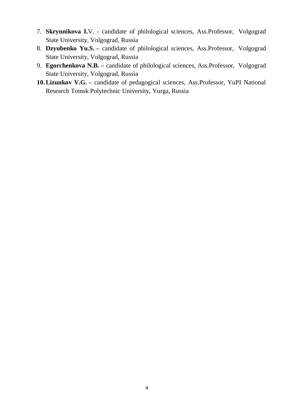- 7. **Skrynnikova I.**V. candidate of philological sciences, Ass.Professor, Volgograd State University, Volgograd, Russia
- 8. **Dzyubenko Yu.S. –** candidate of philological sciences, Ass.Professor, Volgograd State University, Volgograd, Russia
- 9. **Egorchenkova N.B. –** candidate of philological sciences, Ass.Professor, Volgograd State University, Volgograd, Russia
- **10.Lizunkov V.G. –** candidate of pedagogical sciences, Ass.Professor, YuPI National Research Tomsk Polytechnic University, Yurga, Russia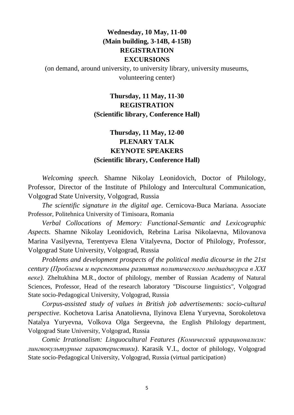# **Wednesday, 10 May, 11-00 (Main building, 3-14B, 4-15B) REGISTRATION EXCURSIONS**

(on demand, around university, to university library, university museums, volunteering center)

# **Thursday, 11 May, 11-30 REGISTRATION (Scientific library, Conference Hall)**

# **Thursday, 11 May, 12-00 PLENARY TALK KEYNOTE SPEAKERS (Scientific library, Conference Hall)**

*Welcoming speech.* Shamne Nikolay Leonidovich, Doctor of Philology, Professor, Director of the Institute of Philology and Intercultural Communication, Volgograd State University, Volgograd, Russia

*The scientific signature in the digital age.* Cernicova-Buca Mariana. Associate Professor, Politehnica University of Timisoara, Romania

*Verbal Collocations of Memory: Functional-Semantic and Lexicographic Aspects.* Shamne Nikolay Leonidovich, Rebrina Larisa Nikolaevna, Milovanova Marina Vasilyevna, Terentyeva Elena Vitalyevna, Doctor of Philology, Professor, Volgograd State University, Volgograd, Russia

*Problems and development prospects of the political media dicourse in the 21st century (Проблемы и перспективы развития политического медиадикурса в XXI веке).* Zheltukhina M.R., doctor of philology, member of Russian Academy of Natural Sciences, Professor, Head of the research laboratory "Discourse linguistics", Volgograd State socio-Pedagogical University, Volgograd, Russia

*Corpus-assisted study of values in British job advertisements: socio-cultural perspective.* Kochetova Larisa Anatolievna, Ilyinova Elena Yuryevna, Sorokoletova Natalya Yuryevna, Volkova Olga Sergeevna, the English Philology department, Volgograd State University, Volgograd, Russia

*Comic Irrationalism: Linguocultural Features (Комический иррационализм: лингвокультурные характеристики)*. Karasik V.I., doctor of philology, Volgograd State socio-Pedagogical University, Volgograd, Russia (virtual participation)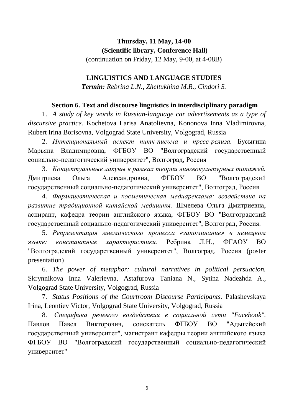# **Thursday, 11 May, 14-00 (Scientific library, Conference Hall)**

(continuation on Friday, 12 May, 9-00, at 4-08B)

## **LINGUISTICS AND LANGUAGE STUDIES**

*Termin: Rebrina L.N., Zheltukhina M.R., Cindori S.* 

# **Section 6. Text and discourse linguistics in interdisciplinary paradigm**

1. *A study of key words in Russian-language car advertisements as a type of discursive practice.* Kochetova Larisa Anatolievna, Kononova Inna Vladimirovna, Rubert Irina Borisovna, Volgograd State University, Volgograd, Russia

2. *Интенциональный аспект питч-письма и пресс-релиза.* Бусыгина Марьяна Владимировна, ФГБОУ ВО "Волгоградский государственный социально-педагогический университет", Волгоград, Россия

3. *Концептуальные лакуны в рамках теории лингвокультурных типажей.*  Дмитриева Ольга Александровна, ФГБОУ ВО "Волгоградский государственный социально-педагогический университет", Волгоград, Россия

4. *Фармацевтическая и косметическая медиареклама: воздействие на развитие традиционной китайской медицины.* Шмелева Ольга Дмитриевна, аспирант, кафедра теории английского языка, ФГБОУ ВО "Волгоградский государственный социально-педагогический университет", Волгоград, Россия.

5. *Репрезентация мнемического процесса «запоминание» в немецком языке: константные характеристики.* Ребрина Л.Н., ФГАОУ ВО "Волгоградский государственный университет", Волгоград, Россия (poster presentation)

6. *The power of metaphor: cultural narratives in political persuacion.*  Skrynnikova Inna Valerievna, Astafurova Taniana N., Sytina Nadezhda A., Volgograd State University, Volgograd, Russia

7. *Status Positions of the Courtroom Discourse Participants.* Palashevskaya Irina, Leontiev Victor, Volgograd State University, Volgograd, Russia

8. *Специфика речевого воздействия в социальной сети "Facebook".*  Павлов Павел Викторович, соискатель ФГБОУ ВО "Адыгейский государственный университет", магистрант кафедры теории английского языка ФГБОУ ВО "Волгоградский государственный социально-педагогический университет"

6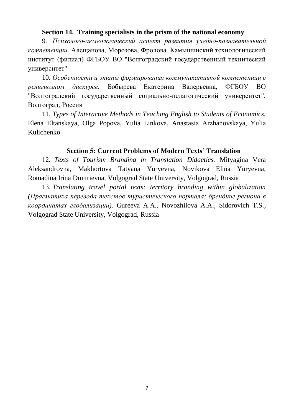#### **Section 14. Training specialists in the prism of the national economy**

9. *Психолого-акмеологический аспект развития учебно-познавательной компетенции*. Алещанова, Морозова, Фролова. Камышинский технологический институт (филиал) ФГБОУ ВО "Волгоградский государственный технический университет"

10. *Особенности и этапы формирования коммуникативной компетенции в религиозном дискурсе.* Бобырева Екатерина Валерьевна, ФГБОУ ВО "Волгоградский государственный социально-педагогический университет", Волгоград, Россия

11. *Types of Interactive Methods in Teaching English to Students of Economics.* Elena Eltanskaya, Olga Popova, Yulia Linkova, Anastasia Аrzhanovskaya, Yulia Kulichenko

#### **Section 5: Current Problems of Modern Texts' Translation**

12. *Texts of Tourism Branding in Translation Didactics.* Mityagina Vera Aleksandrovna, Makhortova Tatyana Yuryevna, Novikova Elina Yuryevna, Romadina Irina Dmitrievna, Volgograd State University, Volgograd, Russia

13. *Translating travel portal texts: territory branding within globalization (Прагматика перевода текстов туристического портала: брендинг региона в координатах глобализации).* Gureeva A.A., Novozhilova A.A., Sidorovich T.S., Volgograd State University, Volgograd, Russia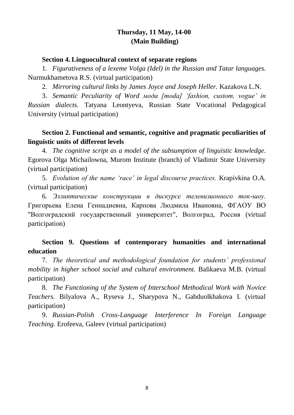# **Thursday, 11 May, 14-00 (Main Building)**

#### **Section 4. Linguocultural context of separate regions**

1. *Figurativeness of a lexeme Volga (Idel) in the Russian and Tatar languages.* Nurmukhametova R.S. (virtual participation)

2. *Mirroring cultural links by James Joyce and Joseph Heller.* Kazakova L.N.

3. *Semantic Peculiarity of Word мода [moda] 'fashion, custom, vogue' in Russian dialects.* Tatyana Leontyeva, Russian State Vocational Pedagogical University (virtual participation)

# **Section 2. Functional and semantic, cognitive and pragmatic peculiarities of linguistic units of different levels**

4. *The cognitive script as a model of the subsumption of linguistic knowledge.* Egorova Olga Michailowna, Murom Institute (branch) of Vladimir State University (virtual participation)

5. *Evolution of the name 'race' in legal discourse practices.* Krapivkina O.A. (virtual participation)

6. *Эллиптические конструкции в дискурсе телевизионного ток-шоу.*  Григорьева Елена Геннадиевна, Карпова Людмила Ивановна, ФГАОУ ВО "Волгоградский государственный университет", Волгоград, Россия (virtual participation)

# **Section 9. Questions of contemporary humanities and international education**

7. *The theoretical and methodological foundation for students' professional mobility in higher school social and cultural environment.* Balikaeva M.B. (virtual participation)

8. *The Functioning of the System of Interschool Methodical Work with Nоvice Teachers.* Bilyalova A., Ryseva J., Sharypova N., Gabduolkhakova I. (virtual participation)

9. *Russian-Polish Сross-Language Interference In Foreign Language Teaching.* Erofeeva, Galeev (virtual participation)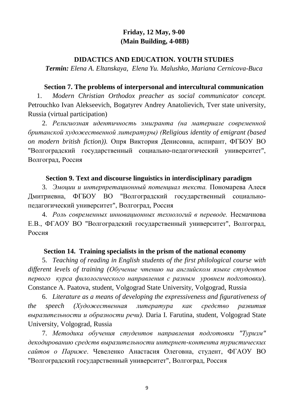# **Friday, 12 May, 9-00 (Main Building, 4-08B)**

#### **DIDACTICS AND EDUCATION. YOUTH STUDIES**

*Termin: Elena A. Eltanskaya, Elena Yu. Malushko, Mariana Cernicova-Buca* 

#### **Section 7. The problems of interpersonal and intercultural communication**

1. *Modern Christian Orthodox preacher as social communicator concept.*  Petrouchko Ivan Alekseevich, Bogatyrev Andrey Anatolievich, Tver state university, Russia (virtual participation)

2. *Религиозная идентичность эмигранта (на материале современной британской художественной литературы) (Religious identity of emigrant (based on modern british fiction)).* Опря Виктория Денисовна, аспирант, ФГБОУ ВО "Волгоградский государственный социально-педагогический университет", Волгоград, Россия

#### **Section 9. Text and discourse linguistics in interdisciplinary paradigm**

3. *Эмоции и интерпретационный потенциал текста.* Пономарева Алеся Дмитриевна, ФГБОУ ВО "Волгоградский государственный социальнопедагогический университет", Волгоград, Россия

4. *Роль современных инновационных технологий в переводе.* Несмачнова Е.В., ФГАОУ ВО "Волгоградский государственный университет", Волгоград, Россия

#### **Section 14. Training specialists in the prism of the national economy**

5. *Teaching of reading in English students of the first philological course with different levels of training (Обучение чтению на английском языке студентов первого курса филологического направления с разным уровнем подготовки*). Constance A. Paatova, student, Volgograd State University, Volgograd, Russia

6. *Literature as a means of developing the expressiveness and figurativeness of the speech (Художественная литература как средство развития выразительности и образности речи).* Daria I. Farutina, student, Volgograd State University, Volgograd, Russia

7. *Методика обучения студентов направления подготовки "Туризм" декодированию средств выразительности интернет-контента туристических сайтов о Париже*. Чевеленко Анастасия Олеговна, студент, ФГАОУ ВО "Волгоградский государственный университет", Волгоград, Россия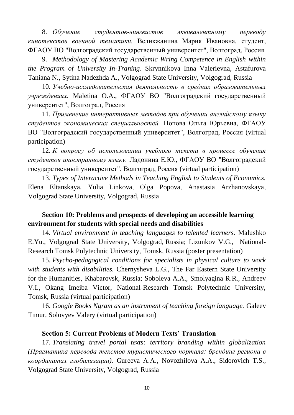8. *Обучение студентов-лингвистов эквивалентному переводу кинотекстов военной тематики.* Великжанина Мария Ивановна, студент, ФГАОУ ВО "Волгоградский государственный университет", Волгоград, Россия

9. *Methodology of Mastering Academic Wring Competence in English within the Program of University In-Traning*. Skrynnikova Inna Valerievna, Astafurova Taniana N., Sytina Nadezhda A., Volgograd State University, Volgograd, Russia

10. *Учебно-исследовательская деятельность в средних образовательных учреждениях.* Maletina O.A., ФГАОУ ВО "Волгоградский государственный университет", Волгоград, Россия

11. *Применение интерактивных методов при обучении английскому языку студентов экономических специальностей.* Попова Ольга Юрьевна, ФГАОУ ВО "Волгоградский государственный университет", Волгоград, Россия (virtual participation)

12. *К вопросу об использовании учебного текста в процессе обучения студентов иностранному языку.* Ладонина Е.Ю., ФГАОУ ВО "Волгоградский государственный университет", Волгоград, Россия (virtual participation)

13. *Types of Interactive Methods in Teaching English to Students of Economics.* Elena Eltanskaya, Yulia Linkova, Olga Popova, Anastasia Arzhanovskaya, Volgograd State University, Volgograd, Russia

# **Section 10: Problems and prospects of developing an accessible learning environment for students with special needs and disabilities**

14. *Virtual environment in teaching languages to talented learners.* Malushko E.Yu., Volgograd State University, Volgograd, Russia; Lizunkov V.G., National-Research Tomsk Polytechnic University, Tomsk, Russia (poster presentation)

15. *Psycho-pedagogical conditions for specialists in physical culture to work with students with disabilities.* Chernysheva L.G., The Far Eastern State University for the Humanities, Khabarovsk, Russia; Soboleva A.A., Smolyagina R.R., Andreev V.I., Okang Imeiba Victor, National-Research Tomsk Polytechnic University, Tomsk, Russia (virtual participation)

16. *Google Books Ngram as an instrument of teaching foreign language.* Galeev Timur, Solovyev Valery (virtual participation)

#### **Section 5: Current Problems of Modern Texts' Translation**

17. *Translating travel portal texts: territory branding within globalization (Прагматика перевода текстов туристического портала: брендинг региона в координатах глобализации).* Gureeva A.A., Novozhilova A.A., Sidorovich T.S., Volgograd State University, Volgograd, Russia